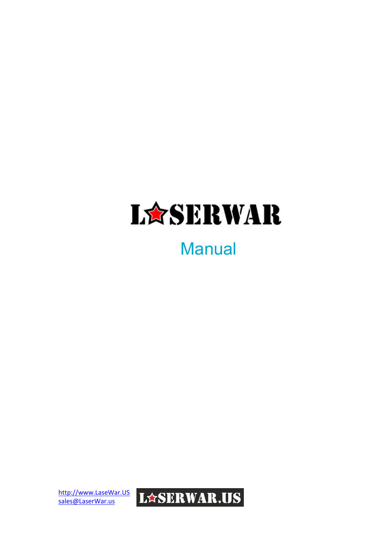

# **Manual**

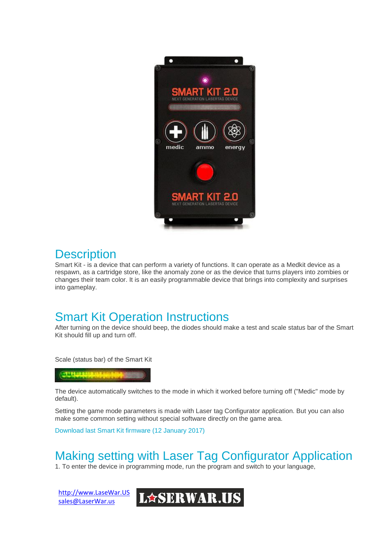

### **Description**

Smart Kit - is a device that can perform a variety of functions. It can operate as a Medkit device as a respawn, as a cartridge store, like the anomaly zone or as the device that turns players into zombies or changes their team color. It is an easily programmable device that brings into complexity and surprises into gameplay.

## Smart Kit Operation Instructions

After turning on the device should beep, the diodes should make a test and scale status bar of the Smart Kit should fill up and turn off.

Scale (status bar) of the Smart Kit



The device automatically switches to the mode in which it worked before turning off ("Medic" mode by default).

Setting the game mode parameters is made with Laser tag Configurator application. But you can also make some common setting without special software directly on the game area.

[Download](http://lasertagoutdoor.com/download/smart-kit-12.jan.2017.zip) last Smart Kit firmware (12 January 2017)

## Making setting with Laser Tag Configurator Application

1. To enter the device in programming mode, run the program and switch to your language,

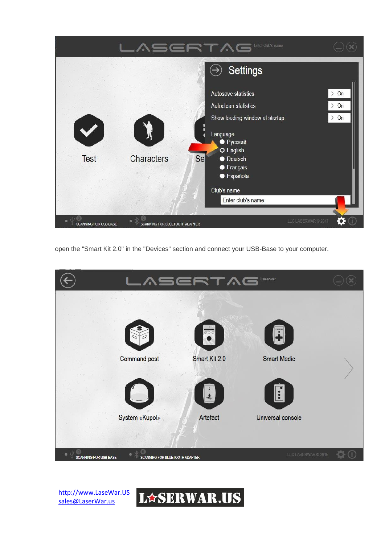

open the "Smart Kit 2.0" in the "Devices" section and connect your USB-Base to your computer.



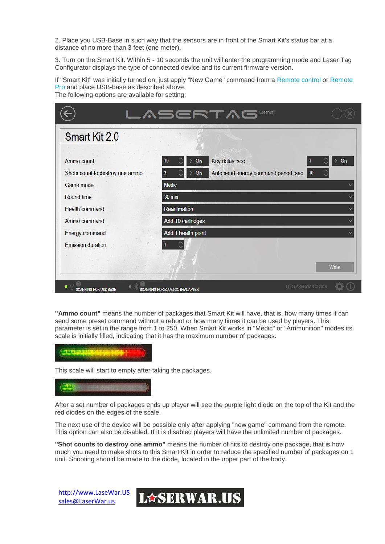2. Place you USB-Base in such way that the sensors are in front of the Smart Kit's status bar at a distance of no more than 3 feet (one meter).

3. Turn on the Smart Kit. Within 5 - 10 seconds the unit will enter the programming mode and Laser Tag Configurator displays the type of connected device and its current firmware version.

If "Smart Kit" was initially turned on, just apply "New Game" command from a [Remote](http://lasertagoutdoor.com/index.php/about-equipment/laser-tag-devices/remotepro) control or Remote [Pro](http://lasertagoutdoor.com/index.php/about-equipment/laser-tag-devices/remotepro) and place USB-base as described above. The following options are available for setting:

| Smart Kit 2.0                   | <b>VINEビビエンロ 『sewar</b>                             |                     |
|---------------------------------|-----------------------------------------------------|---------------------|
|                                 |                                                     |                     |
| Ammo count                      | Key delay, sec.<br>On<br>10                         | On                  |
| Shots count to destroy one ammo | Auto send energy command period, sec. 10<br>On<br>3 |                     |
| Game mode                       | Medic                                               |                     |
| <b>Round time</b>               | <b>30 min</b>                                       |                     |
| <b>Health command</b>           | Reanimation                                         |                     |
| Ammo command                    | Add 10 cartridges                                   |                     |
| <b>Energy command</b>           | Add 1 health point                                  |                     |
| <b>Emission duration</b>        |                                                     |                     |
|                                 |                                                     |                     |
|                                 |                                                     | Write               |
|                                 |                                                     | LLC LASERWAR @ 2016 |

**"Ammo count"** means the number of packages that Smart Kit will have, that is, how many times it can send some preset command without a reboot or how many times it can be used by players. This parameter is set in the range from 1 to 250. When Smart Kit works in "Medic" or "Ammunition" modes its scale is initially filled, indicating that it has the maximum number of packages.



This scale will start to empty after taking the packages.

After a set number of packages ends up player will see the purple light diode on the top of the Kit and the red diodes on the edges of the scale.

The next use of the device will be possible only after applying "new game" command from the remote. This option can also be disabled. If it is disabled players will have the unlimited number of packages.

**"Shot counts to destroy one ammo"** means the number of hits to destroy one package, that is how much you need to make shots to this Smart Kit in order to reduce the specified number of packages on 1 unit. Shooting should be made to the diode, located in the upper part of the body.

[http://www.LaseWar.US](http://www.lasewar.us/)  [sales@LaserWar.us](mailto:sales@LaserWar.us)

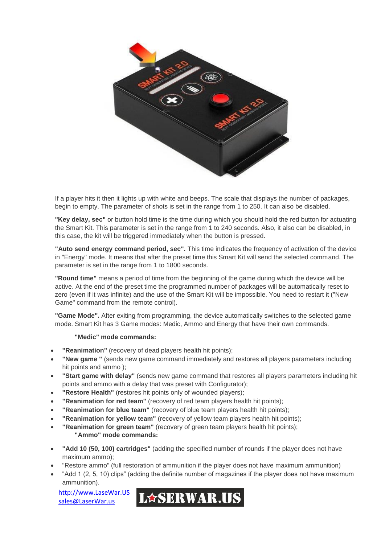

If a player hits it then it lights up with white and beeps. The scale that displays the number of packages, begin to empty. The parameter of shots is set in the range from 1 to 250. It can also be disabled.

**"Key delay, sec"** or button hold time is the time during which you should hold the red button for actuating the Smart Kit. This parameter is set in the range from 1 to 240 seconds. Also, it also can be disabled, in this case, the kit will be triggered immediately when the button is pressed.

**"Auto send energy command period, sec".** This time indicates the frequency of activation of the device in "Energy" mode. It means that after the preset time this Smart Kit will send the selected command. The parameter is set in the range from 1 to 1800 seconds.

**"Round time"** means a period of time from the beginning of the game during which the device will be active. At the end of the preset time the programmed number of packages will be automatically reset to zero (even if it was infinite) and the use of the Smart Kit will be impossible. You need to restart it ("New Game" command from the remote control).

**"Game Mode".** After exiting from programming, the device automatically switches to the selected game mode. Smart Kit has 3 Game modes: Medic, Ammo and Energy that have their own commands.

### **"Medic" mode commands:**

- **"Reanimation"** (recovery of dead players health hit points);
- **"New game "** (sends new game command immediately and restores all players parameters including hit points and ammo );
- **"Start game with delay"** (sends new game command that restores all players parameters including hit points and ammo with a delay that was preset with Configurator);
- **"Restore Health"** (restores hit points only of wounded players);
- **"Reanimation for red team"** (recovery of red team players health hit points);
- **"Reanimation for blue team"** (recovery of blue team players health hit points);
- **"Reanimation for yellow team"** (recovery of yellow team players health hit points);
- **"Reanimation for green team"** (recovery of green team players health hit points); **"Ammo" mode commands:**
- **"Add 10 (50, 100) cartridges"** (adding the specified number of rounds if the player does not have maximum ammo);
- "Restore ammo" (full restoration of ammunition if the player does not have maximum ammunition)
- "Add 1 (2, 5, 10) clips" (adding the definite number of magazines if the player does not have maximum ammunition).

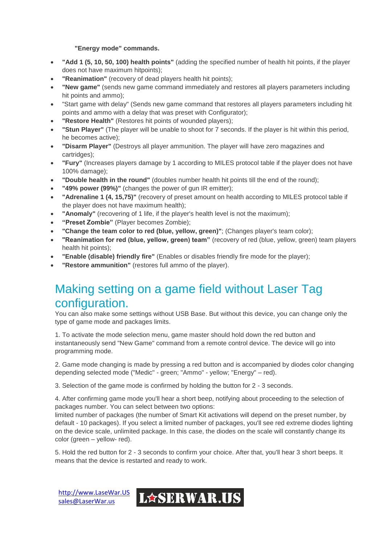### **"Energy mode" commands.**

- **"Add 1 (5, 10, 50, 100) health points"** (adding the specified number of health hit points, if the player does not have maximum hitpoints);
- **"Reanimation"** (recovery of dead players health hit points);
- **"New game"** (sends new game command immediately and restores all players parameters including hit points and ammo);
- "Start game with delay" (Sends new game command that restores all players parameters including hit points and ammo with a delay that was preset with Configurator);
- **"Restore Health"** (Restores hit points of wounded players);
- **"Stun Player"** (The player will be unable to shoot for 7 seconds. If the player is hit within this period, he becomes active);
- **"Disarm Player"** (Destroys all player ammunition. The player will have zero magazines and cartridges);
- **"Fury"** (Increases players damage by 1 according to MILES protocol table if the player does not have 100% damage);
- **"Double health in the round"** (doubles number health hit points till the end of the round);
- **"49% power (99%)"** (changes the power of gun IR emitter);
- **"Adrenaline 1 (4, 15,75)"** (recovery of preset amount on health according to MILES protocol table if the player does not have maximum health);
- **"Anomaly"** (recovering of 1 life, if the player's health level is not the maximum);
- **"Preset Zombie"** (Player becomes Zombie);
- **"Change the team color to red (blue, yellow, green)"**; (Changes player's team color);
- **"Reanimation for red (blue, yellow, green) team"** (recovery of red (blue, yellow, green) team players health hit points);
- **"Enable (disable) friendly fire"** (Enables or disables friendly fire mode for the player);
- **"Restore ammunition"** (restores full ammo of the player).

## Making setting on a game field without Laser Tag configuration.

You can also make some settings without USB Base. But without this device, you can change only the type of game mode and packages limits.

1. To activate the mode selection menu, game master should hold down the red button and instantaneously send "New Game" command from a remote control device. The device will go into programming mode.

2. Game mode changing is made by pressing a red button and is accompanied by diodes color changing depending selected mode ("Medic" - green; "Ammo" - yellow; "Energy" – red).

3. Selection of the game mode is confirmed by holding the button for 2 - 3 seconds.

4. After confirming game mode you'll hear a short beep, notifying about proceeding to the selection of packages number. You can select between two options:

limited number of packages (the number of Smart Kit activations will depend on the preset number, by default - 10 packages). If you select a limited number of packages, you'll see red extreme diodes lighting on the device scale, unlimited package. In this case, the diodes on the scale will constantly change its color (green – yellow- red).

5. Hold the red button for 2 - 3 seconds to confirm your choice. After that, you'll hear 3 short beeps. It means that the device is restarted and ready to work.